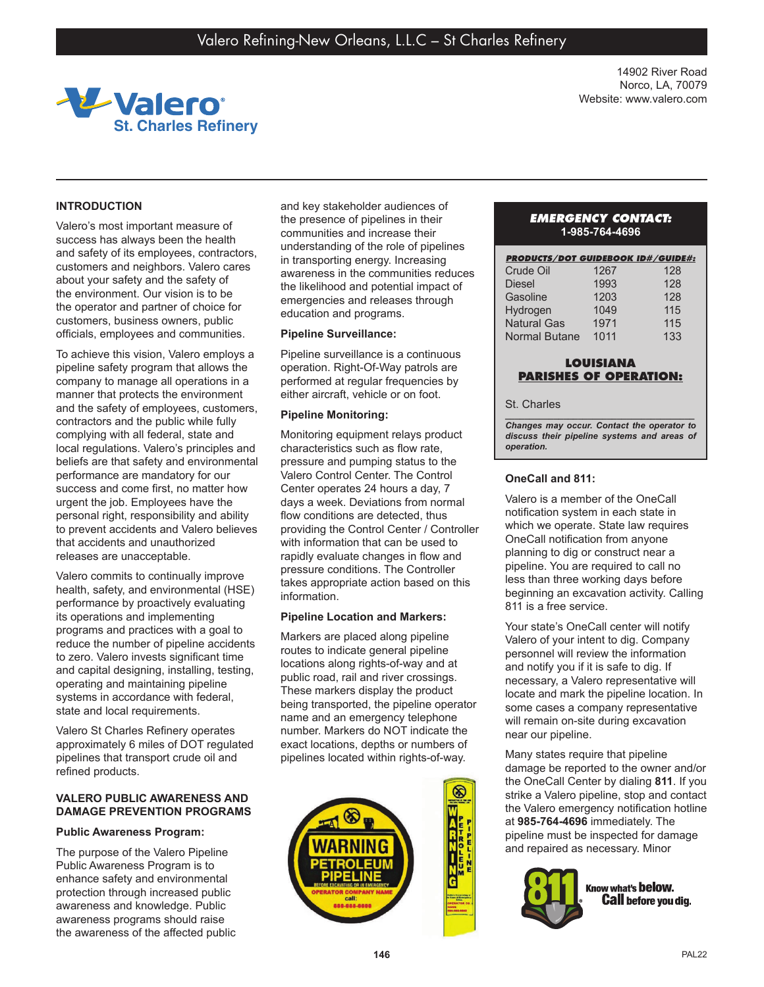

14902 River Road Norco, LA, 70079 Website: www.valero.com

# **INTRODUCTION**

Valero's most important measure of success has always been the health and safety of its employees, contractors, customers and neighbors. Valero cares about your safety and the safety of the environment. Our vision is to be the operator and partner of choice for customers, business owners, public officials, employees and communities.

To achieve this vision, Valero employs a pipeline safety program that allows the company to manage all operations in a manner that protects the environment and the safety of employees, customers, contractors and the public while fully complying with all federal, state and local regulations. Valero's principles and beliefs are that safety and environmental performance are mandatory for our success and come first, no matter how urgent the job. Employees have the personal right, responsibility and ability to prevent accidents and Valero believes that accidents and unauthorized releases are unacceptable.

Valero commits to continually improve health, safety, and environmental (HSE) performance by proactively evaluating its operations and implementing programs and practices with a goal to reduce the number of pipeline accidents to zero. Valero invests significant time and capital designing, installing, testing, operating and maintaining pipeline systems in accordance with federal, state and local requirements.

Valero St Charles Refinery operates approximately 6 miles of DOT regulated pipelines that transport crude oil and refined products.

## **VALERO PUBLIC AWARENESS AND DAMAGE PREVENTION PROGRAMS**

## **Public Awareness Program:**

The purpose of the Valero Pipeline Public Awareness Program is to enhance safety and environmental protection through increased public awareness and knowledge. Public awareness programs should raise the awareness of the affected public and key stakeholder audiences of the presence of pipelines in their communities and increase their understanding of the role of pipelines in transporting energy. Increasing awareness in the communities reduces the likelihood and potential impact of emergencies and releases through education and programs.

### **Pipeline Surveillance:**

Pipeline surveillance is a continuous operation. Right-Of-Way patrols are performed at regular frequencies by either aircraft, vehicle or on foot.

### **Pipeline Monitoring:**

Monitoring equipment relays product characteristics such as flow rate, pressure and pumping status to the Valero Control Center. The Control Center operates 24 hours a day, 7 days a week. Deviations from normal flow conditions are detected, thus providing the Control Center / Controller with information that can be used to rapidly evaluate changes in flow and pressure conditions. The Controller takes appropriate action based on this information.

### **Pipeline Location and Markers:**

Markers are placed along pipeline routes to indicate general pipeline locations along rights-of-way and at public road, rail and river crossings. These markers display the product being transported, the pipeline operator name and an emergency telephone number. Markers do NOT indicate the exact locations, depths or numbers of pipelines located within rights-of-way.



## *EMERGENCY CONTACT:* **1-985-764-4696**

| <b>PRODUCTS/DOT GUIDEBOOK ID#/GUIDE#:</b> |      |     |
|-------------------------------------------|------|-----|
| Crude Oil                                 | 1267 | 128 |
| <b>Diesel</b>                             | 1993 | 128 |
| Gasoline                                  | 1203 | 128 |
| Hydrogen                                  | 1049 | 115 |
| <b>Natural Gas</b>                        | 1971 | 115 |
| <b>Normal Butane</b>                      | 1011 | 133 |

# **LOUISIANA PARISHES OF OPERATION:**

#### St. Charles

*\_\_\_\_\_\_\_\_\_\_\_\_\_\_\_\_\_\_\_\_\_\_\_\_\_\_\_\_\_\_\_\_\_\_\_\_\_\_\_ Changes may occur. Contact the operator to discuss their pipeline systems and areas of operation.*

## **OneCall and 811:**

Valero is a member of the OneCall notification system in each state in which we operate. State law requires OneCall notification from anyone planning to dig or construct near a pipeline. You are required to call no less than three working days before beginning an excavation activity. Calling 811 is a free service.

Your state's OneCall center will notify Valero of your intent to dig. Company personnel will review the information and notify you if it is safe to dig. If necessary, a Valero representative will locate and mark the pipeline location. In some cases a company representative will remain on-site during excavation near our pipeline.

Many states require that pipeline damage be reported to the owner and/or the OneCall Center by dialing **811**. If you strike a Valero pipeline, stop and contact the Valero emergency notification hotline at **985-764-4696** immediately. The pipeline must be inspected for damage and repaired as necessary. Minor